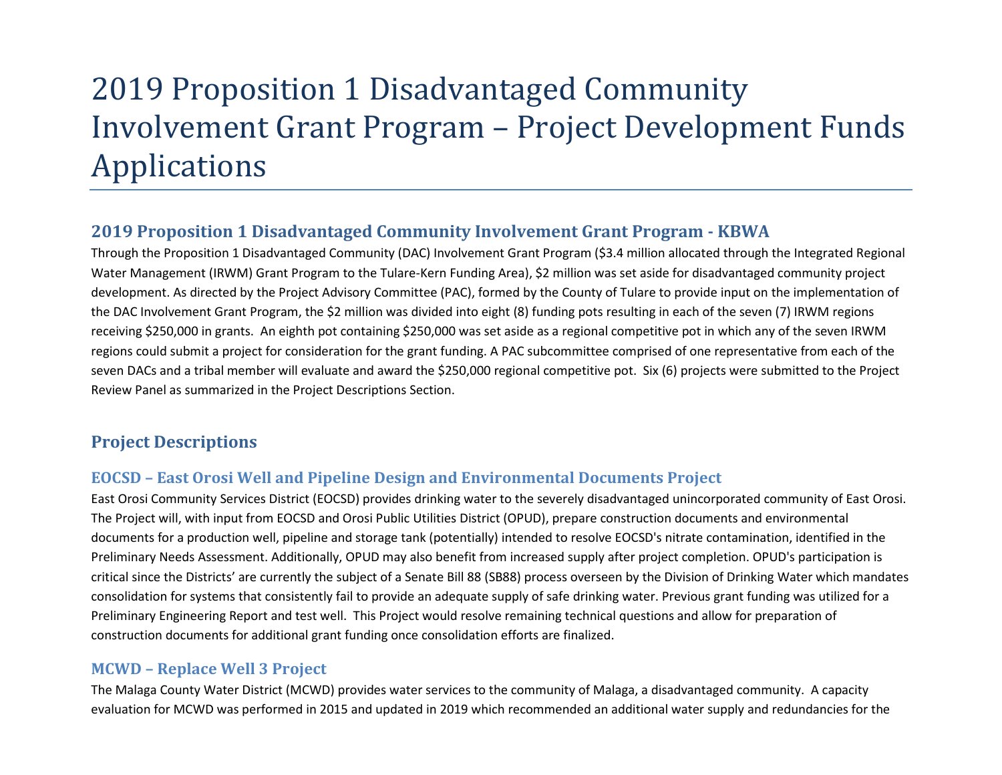# 2019 Proposition 1 Disadvantaged Community Involvement Grant Program – Project Development Funds Applications

# **2019 Proposition 1 Disadvantaged Community Involvement Grant Program - KBWA**

Through the Proposition 1 Disadvantaged Community (DAC) Involvement Grant Program (\$3.4 million allocated through the Integrated Regional Water Management (IRWM) Grant Program to the Tulare-Kern Funding Area), \$2 million was set aside for disadvantaged community project development. As directed by the Project Advisory Committee (PAC), formed by the County of Tulare to provide input on the implementation of the DAC Involvement Grant Program, the \$2 million was divided into eight (8) funding pots resulting in each of the seven (7) IRWM regions receiving \$250,000 in grants. An eighth pot containing \$250,000 was set aside as a regional competitive pot in which any of the seven IRWM regions could submit a project for consideration for the grant funding. A PAC subcommittee comprised of one representative from each of the seven DACs and a tribal member will evaluate and award the \$250,000 regional competitive pot. Six (6) projects were submitted to the Project Review Panel as summarized in the Project Descriptions Section.

## **Project Descriptions**

## **EOCSD – East Orosi Well and Pipeline Design and Environmental Documents Project**

East Orosi Community Services District (EOCSD) provides drinking water to the severely disadvantaged unincorporated community of East Orosi. The Project will, with input from EOCSD and Orosi Public Utilities District (OPUD), prepare construction documents and environmental documents for a production well, pipeline and storage tank (potentially) intended to resolve EOCSD's nitrate contamination, identified in the Preliminary Needs Assessment. Additionally, OPUD may also benefit from increased supply after project completion. OPUD's participation is critical since the Districts' are currently the subject of a Senate Bill 88 (SB88) process overseen by the Division of Drinking Water which mandates consolidation for systems that consistently fail to provide an adequate supply of safe drinking water. Previous grant funding was utilized for a Preliminary Engineering Report and test well. This Project would resolve remaining technical questions and allow for preparation of construction documents for additional grant funding once consolidation efforts are finalized.

## **MCWD – Replace Well 3 Project**

The Malaga County Water District (MCWD) provides water services to the community of Malaga, a disadvantaged community. A capacity evaluation for MCWD was performed in 2015 and updated in 2019 which recommended an additional water supply and redundancies for the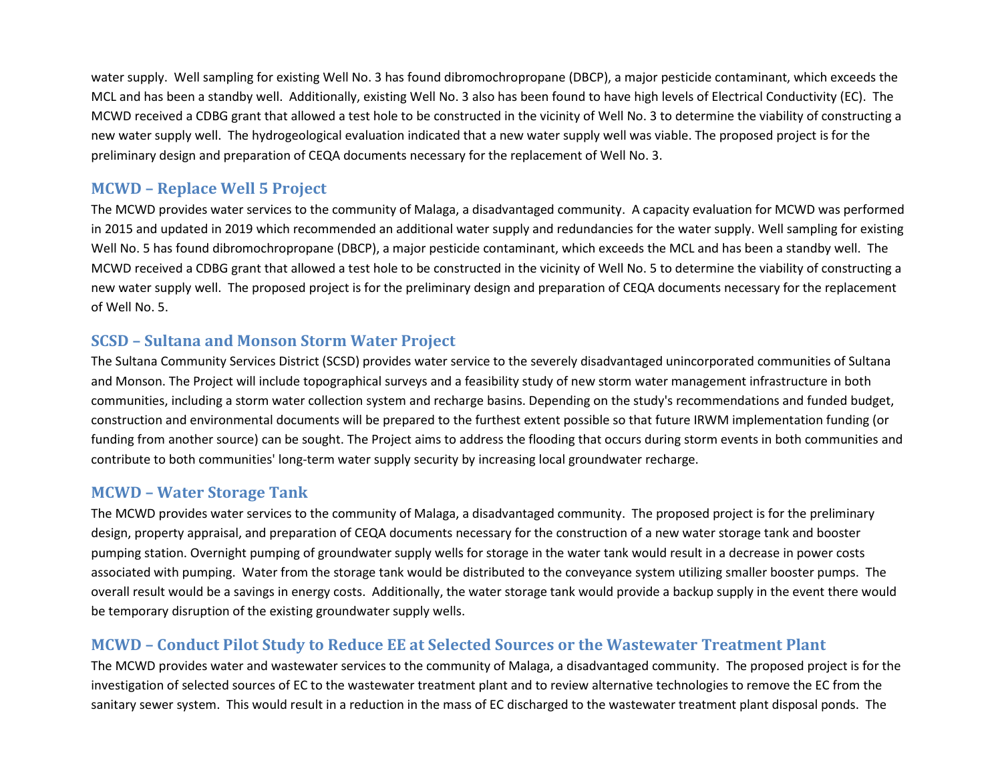water supply. Well sampling for existing Well No. 3 has found dibromochropropane (DBCP), a major pesticide contaminant, which exceeds the MCL and has been a standby well. Additionally, existing Well No. 3 also has been found to have high levels of Electrical Conductivity (EC). The MCWD received a CDBG grant that allowed a test hole to be constructed in the vicinity of Well No. 3 to determine the viability of constructing a new water supply well. The hydrogeological evaluation indicated that a new water supply well was viable. The proposed project is for the preliminary design and preparation of CEQA documents necessary for the replacement of Well No. 3.

### **MCWD – Replace Well 5 Project**

The MCWD provides water services to the community of Malaga, a disadvantaged community. A capacity evaluation for MCWD was performed in 2015 and updated in 2019 which recommended an additional water supply and redundancies for the water supply. Well sampling for existing Well No. 5 has found dibromochropropane (DBCP), a major pesticide contaminant, which exceeds the MCL and has been a standby well. The MCWD received a CDBG grant that allowed a test hole to be constructed in the vicinity of Well No. 5 to determine the viability of constructing a new water supply well. The proposed project is for the preliminary design and preparation of CEQA documents necessary for the replacement of Well No. 5.

#### **SCSD – Sultana and Monson Storm Water Project**

The Sultana Community Services District (SCSD) provides water service to the severely disadvantaged unincorporated communities of Sultana and Monson. The Project will include topographical surveys and a feasibility study of new storm water management infrastructure in both communities, including a storm water collection system and recharge basins. Depending on the study's recommendations and funded budget, construction and environmental documents will be prepared to the furthest extent possible so that future IRWM implementation funding (or funding from another source) can be sought. The Project aims to address the flooding that occurs during storm events in both communities and contribute to both communities' long-term water supply security by increasing local groundwater recharge.

#### **MCWD – Water Storage Tank**

The MCWD provides water services to the community of Malaga, a disadvantaged community. The proposed project is for the preliminary design, property appraisal, and preparation of CEQA documents necessary for the construction of a new water storage tank and booster pumping station. Overnight pumping of groundwater supply wells for storage in the water tank would result in a decrease in power costs associated with pumping. Water from the storage tank would be distributed to the conveyance system utilizing smaller booster pumps. The overall result would be a savings in energy costs. Additionally, the water storage tank would provide a backup supply in the event there would be temporary disruption of the existing groundwater supply wells.

## **MCWD – Conduct Pilot Study to Reduce EE at Selected Sources or the Wastewater Treatment Plant**

The MCWD provides water and wastewater services to the community of Malaga, a disadvantaged community. The proposed project is for the investigation of selected sources of EC to the wastewater treatment plant and to review alternative technologies to remove the EC from the sanitary sewer system. This would result in a reduction in the mass of EC discharged to the wastewater treatment plant disposal ponds. The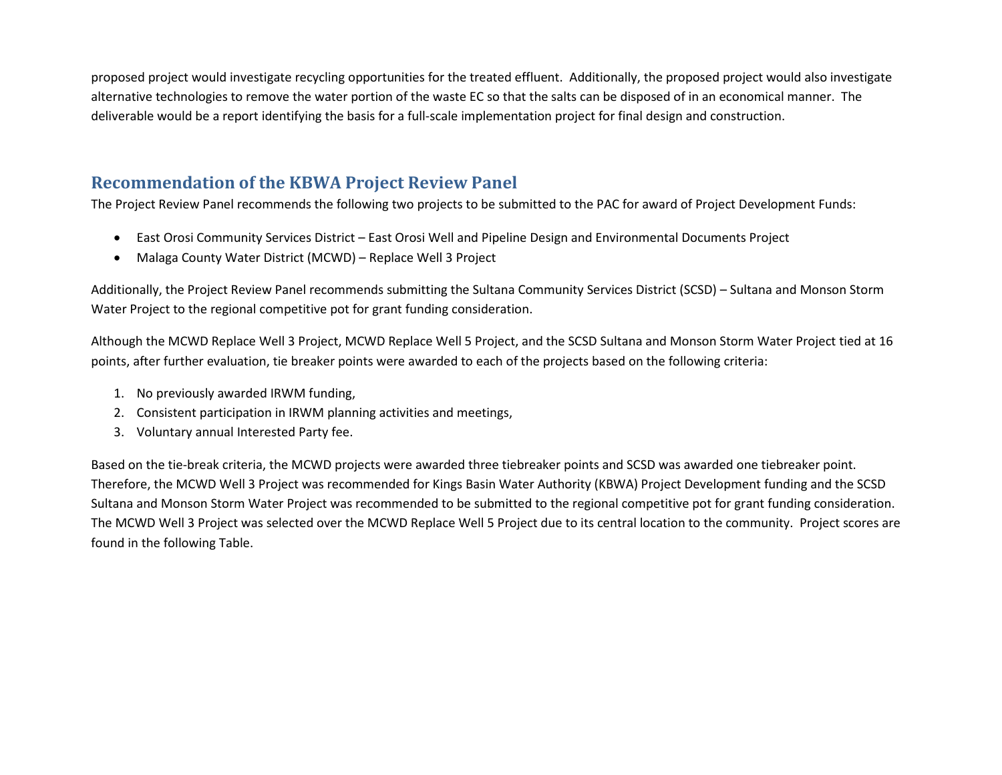proposed project would investigate recycling opportunities for the treated effluent. Additionally, the proposed project would also investigate alternative technologies to remove the water portion of the waste EC so that the salts can be disposed of in an economical manner. The deliverable would be a report identifying the basis for a full-scale implementation project for final design and construction.

# **Recommendation of the KBWA Project Review Panel**

The Project Review Panel recommends the following two projects to be submitted to the PAC for award of Project Development Funds:

- East Orosi Community Services District East Orosi Well and Pipeline Design and Environmental Documents Project
- Malaga County Water District (MCWD) Replace Well 3 Project

Additionally, the Project Review Panel recommends submitting the Sultana Community Services District (SCSD) – Sultana and Monson Storm Water Project to the regional competitive pot for grant funding consideration.

Although the MCWD Replace Well 3 Project, MCWD Replace Well 5 Project, and the SCSD Sultana and Monson Storm Water Project tied at 16 points, after further evaluation, tie breaker points were awarded to each of the projects based on the following criteria:

- 1. No previously awarded IRWM funding,
- 2. Consistent participation in IRWM planning activities and meetings,
- 3. Voluntary annual Interested Party fee.

Based on the tie-break criteria, the MCWD projects were awarded three tiebreaker points and SCSD was awarded one tiebreaker point. Therefore, the MCWD Well 3 Project was recommended for Kings Basin Water Authority (KBWA) Project Development funding and the SCSD Sultana and Monson Storm Water Project was recommended to be submitted to the regional competitive pot for grant funding consideration. The MCWD Well 3 Project was selected over the MCWD Replace Well 5 Project due to its central location to the community. Project scores are found in the following Table.